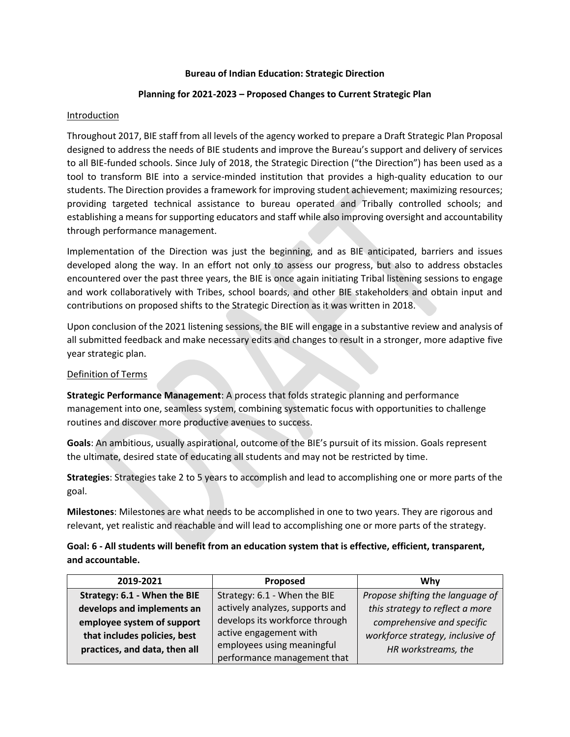### **Bureau of Indian Education: Strategic Direction**

## **Planning for 2021-2023 – Proposed Changes to Current Strategic Plan**

## Introduction

Throughout 2017, BIE staff from all levels of the agency worked to prepare a Draft Strategic Plan Proposal designed to address the needs of BIE students and improve the Bureau's support and delivery of services to all BIE-funded schools. Since July of 2018, the Strategic Direction ("the Direction") has been used as a tool to transform BIE into a service-minded institution that provides a high-quality education to our students. The Direction provides a framework for improving student achievement; maximizing resources; providing targeted technical assistance to bureau operated and Tribally controlled schools; and establishing a means for supporting educators and staff while also improving oversight and accountability through performance management.

Implementation of the Direction was just the beginning, and as BIE anticipated, barriers and issues developed along the way. In an effort not only to assess our progress, but also to address obstacles encountered over the past three years, the BIE is once again initiating Tribal listening sessions to engage and work collaboratively with Tribes, school boards, and other BIE stakeholders and obtain input and contributions on proposed shifts to the Strategic Direction as it was written in 2018.

Upon conclusion of the 2021 listening sessions, the BIE will engage in a substantive review and analysis of all submitted feedback and make necessary edits and changes to result in a stronger, more adaptive five year strategic plan.

## Definition of Terms

**Strategic Performance Management**: A process that folds strategic planning and performance management into one, seamless system, combining systematic focus with opportunities to challenge routines and discover more productive avenues to success.

**Goals**: An ambitious, usually aspirational, outcome of the BIE's pursuit of its mission. Goals represent the ultimate, desired state of educating all students and may not be restricted by time.

**Strategies**: Strategies take 2 to 5 years to accomplish and lead to accomplishing one or more parts of the goal.

**Milestones**: Milestones are what needs to be accomplished in one to two years. They are rigorous and relevant, yet realistic and reachable and will lead to accomplishing one or more parts of the strategy.

# **Goal: 6 - All students will benefit from an education system that is effective, efficient, transparent, and accountable.**

| 2019-2021                     | Proposed                        | Whv                              |
|-------------------------------|---------------------------------|----------------------------------|
| Strategy: 6.1 - When the BIE  | Strategy: 6.1 - When the BIE    | Propose shifting the language of |
| develops and implements an    | actively analyzes, supports and | this strategy to reflect a more  |
| employee system of support    | develops its workforce through  | comprehensive and specific       |
| that includes policies, best  | active engagement with          | workforce strategy, inclusive of |
| practices, and data, then all | employees using meaningful      | HR workstreams, the              |
|                               | performance management that     |                                  |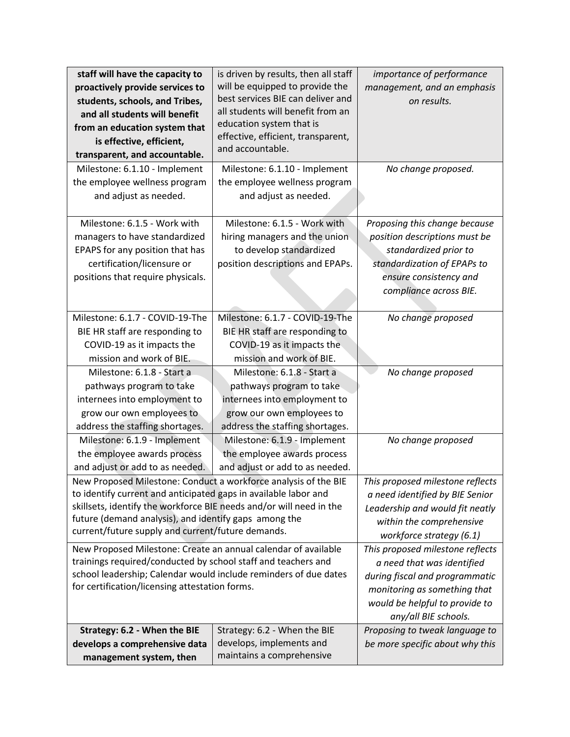| staff will have the capacity to                                                                            | is driven by results, then all staff                   | importance of performance        |
|------------------------------------------------------------------------------------------------------------|--------------------------------------------------------|----------------------------------|
| proactively provide services to                                                                            | will be equipped to provide the                        | management, and an emphasis      |
| students, schools, and Tribes,                                                                             | best services BIE can deliver and                      | on results.                      |
| and all students will benefit                                                                              | all students will benefit from an                      |                                  |
| from an education system that                                                                              | education system that is                               |                                  |
| is effective, efficient,                                                                                   | effective, efficient, transparent,<br>and accountable. |                                  |
| transparent, and accountable.                                                                              |                                                        |                                  |
| Milestone: 6.1.10 - Implement                                                                              | Milestone: 6.1.10 - Implement                          | No change proposed.              |
| the employee wellness program                                                                              | the employee wellness program                          |                                  |
| and adjust as needed.                                                                                      | and adjust as needed.                                  |                                  |
|                                                                                                            |                                                        |                                  |
| Milestone: 6.1.5 - Work with                                                                               | Milestone: 6.1.5 - Work with                           | Proposing this change because    |
| managers to have standardized                                                                              | hiring managers and the union                          | position descriptions must be    |
| EPAPS for any position that has                                                                            | to develop standardized                                | standardized prior to            |
| certification/licensure or                                                                                 | position descriptions and EPAPs.                       | standardization of EPAPs to      |
| positions that require physicals.                                                                          |                                                        | ensure consistency and           |
|                                                                                                            |                                                        | compliance across BIE.           |
|                                                                                                            |                                                        |                                  |
| Milestone: 6.1.7 - COVID-19-The                                                                            | Milestone: 6.1.7 - COVID-19-The                        | No change proposed               |
| BIE HR staff are responding to                                                                             | BIE HR staff are responding to                         |                                  |
| COVID-19 as it impacts the                                                                                 | COVID-19 as it impacts the                             |                                  |
| mission and work of BIE.                                                                                   | mission and work of BIE.                               |                                  |
| Milestone: 6.1.8 - Start a                                                                                 | Milestone: 6.1.8 - Start a                             | No change proposed               |
| pathways program to take                                                                                   | pathways program to take                               |                                  |
| internees into employment to                                                                               | internees into employment to                           |                                  |
| grow our own employees to                                                                                  | grow our own employees to                              |                                  |
| address the staffing shortages.                                                                            | address the staffing shortages.                        |                                  |
| Milestone: 6.1.9 - Implement                                                                               | Milestone: 6.1.9 - Implement                           | No change proposed               |
| the employee awards process                                                                                | the employee awards process                            |                                  |
| and adjust or add to as needed.                                                                            | and adjust or add to as needed.                        |                                  |
| New Proposed Milestone: Conduct a workforce analysis of the BIE                                            |                                                        | This proposed milestone reflects |
| to identify current and anticipated gaps in available labor and                                            |                                                        | a need identified by BIE Senior  |
| skillsets, identify the workforce BIE needs and/or will need in the                                        |                                                        | Leadership and would fit neatly  |
| future (demand analysis), and identify gaps among the<br>current/future supply and current/future demands. |                                                        | within the comprehensive         |
|                                                                                                            |                                                        | workforce strategy (6.1)         |
| New Proposed Milestone: Create an annual calendar of available                                             |                                                        | This proposed milestone reflects |
| trainings required/conducted by school staff and teachers and                                              |                                                        | a need that was identified       |
| school leadership; Calendar would include reminders of due dates                                           |                                                        | during fiscal and programmatic   |
| for certification/licensing attestation forms.                                                             |                                                        | monitoring as something that     |
|                                                                                                            |                                                        | would be helpful to provide to   |
|                                                                                                            |                                                        | any/all BIE schools.             |
| Strategy: 6.2 - When the BIE                                                                               | Strategy: 6.2 - When the BIE                           | Proposing to tweak language to   |
| develops a comprehensive data                                                                              | develops, implements and                               | be more specific about why this  |
| management system, then                                                                                    | maintains a comprehensive                              |                                  |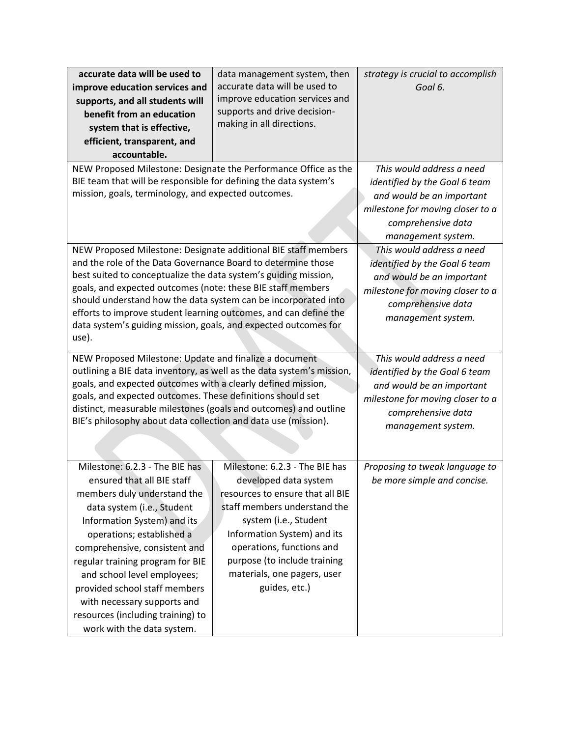| accurate data will be used to                                                                                                       | data management system, then     | strategy is crucial to accomplish |
|-------------------------------------------------------------------------------------------------------------------------------------|----------------------------------|-----------------------------------|
| improve education services and                                                                                                      | accurate data will be used to    | Goal 6.                           |
| supports, and all students will                                                                                                     | improve education services and   |                                   |
| benefit from an education                                                                                                           | supports and drive decision-     |                                   |
| system that is effective,                                                                                                           | making in all directions.        |                                   |
| efficient, transparent, and                                                                                                         |                                  |                                   |
| accountable.                                                                                                                        |                                  |                                   |
| NEW Proposed Milestone: Designate the Performance Office as the                                                                     |                                  | This would address a need         |
| BIE team that will be responsible for defining the data system's                                                                    |                                  | identified by the Goal 6 team     |
| mission, goals, terminology, and expected outcomes.                                                                                 |                                  | and would be an important         |
|                                                                                                                                     |                                  | milestone for moving closer to a  |
|                                                                                                                                     |                                  | comprehensive data                |
|                                                                                                                                     |                                  | management system.                |
| NEW Proposed Milestone: Designate additional BIE staff members                                                                      |                                  | This would address a need         |
| and the role of the Data Governance Board to determine those                                                                        |                                  | identified by the Goal 6 team     |
| best suited to conceptualize the data system's guiding mission,                                                                     |                                  | and would be an important         |
| goals, and expected outcomes (note: these BIE staff members                                                                         |                                  | milestone for moving closer to a  |
| should understand how the data system can be incorporated into                                                                      |                                  | comprehensive data                |
| efforts to improve student learning outcomes, and can define the<br>data system's guiding mission, goals, and expected outcomes for |                                  | management system.                |
| use).                                                                                                                               |                                  |                                   |
|                                                                                                                                     |                                  |                                   |
| NEW Proposed Milestone: Update and finalize a document                                                                              |                                  | This would address a need         |
| outlining a BIE data inventory, as well as the data system's mission,                                                               |                                  | identified by the Goal 6 team     |
| goals, and expected outcomes with a clearly defined mission,<br>goals, and expected outcomes. These definitions should set          |                                  | and would be an important         |
|                                                                                                                                     |                                  | milestone for moving closer to a  |
| distinct, measurable milestones (goals and outcomes) and outline<br>BIE's philosophy about data collection and data use (mission).  |                                  | comprehensive data                |
|                                                                                                                                     |                                  | management system.                |
|                                                                                                                                     |                                  |                                   |
|                                                                                                                                     |                                  |                                   |
| Milestone: 6.2.3 - The BIE has                                                                                                      | Milestone: 6.2.3 - The BIE has   | Proposing to tweak language to    |
| ensured that all BIE staff                                                                                                          | developed data system            | be more simple and concise.       |
| members duly understand the                                                                                                         | resources to ensure that all BIE |                                   |
| data system (i.e., Student                                                                                                          | staff members understand the     |                                   |
| Information System) and its                                                                                                         | system (i.e., Student            |                                   |
| operations; established a                                                                                                           | Information System) and its      |                                   |
| comprehensive, consistent and                                                                                                       | operations, functions and        |                                   |
| regular training program for BIE                                                                                                    | purpose (to include training     |                                   |
| and school level employees;                                                                                                         | materials, one pagers, user      |                                   |
| provided school staff members                                                                                                       | guides, etc.)                    |                                   |
| with necessary supports and                                                                                                         |                                  |                                   |
| resources (including training) to                                                                                                   |                                  |                                   |
| work with the data system.                                                                                                          |                                  |                                   |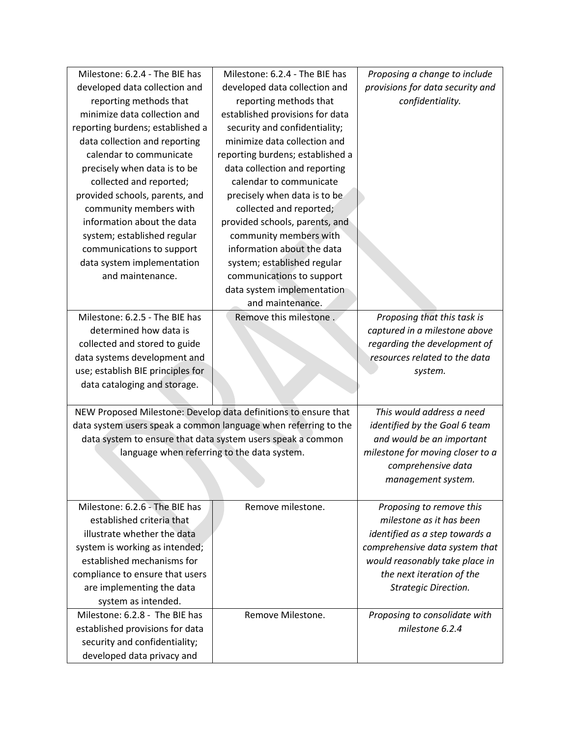| Milestone: 6.2.4 - The BIE has                                  | Milestone: 6.2.4 - The BIE has   | Proposing a change to include    |
|-----------------------------------------------------------------|----------------------------------|----------------------------------|
| developed data collection and                                   | developed data collection and    | provisions for data security and |
| reporting methods that                                          | reporting methods that           | confidentiality.                 |
| minimize data collection and                                    | established provisions for data  |                                  |
| reporting burdens; established a                                | security and confidentiality;    |                                  |
| data collection and reporting                                   | minimize data collection and     |                                  |
| calendar to communicate                                         | reporting burdens; established a |                                  |
| precisely when data is to be                                    | data collection and reporting    |                                  |
| collected and reported;                                         | calendar to communicate          |                                  |
| provided schools, parents, and                                  | precisely when data is to be     |                                  |
| community members with                                          | collected and reported;          |                                  |
| information about the data                                      | provided schools, parents, and   |                                  |
| system; established regular                                     | community members with           |                                  |
| communications to support                                       | information about the data       |                                  |
| data system implementation                                      | system; established regular      |                                  |
| and maintenance.                                                | communications to support        |                                  |
|                                                                 | data system implementation       |                                  |
|                                                                 | and maintenance.                 |                                  |
| Milestone: 6.2.5 - The BIE has                                  | Remove this milestone.           | Proposing that this task is      |
| determined how data is                                          |                                  | captured in a milestone above    |
| collected and stored to guide                                   |                                  | regarding the development of     |
| data systems development and                                    |                                  | resources related to the data    |
| use; establish BIE principles for                               |                                  | system.                          |
| data cataloging and storage.                                    |                                  |                                  |
|                                                                 |                                  |                                  |
| NEW Proposed Milestone: Develop data definitions to ensure that |                                  | This would address a need        |
| data system users speak a common language when referring to the |                                  | identified by the Goal 6 team    |
| data system to ensure that data system users speak a common     |                                  |                                  |
|                                                                 |                                  | and would be an important        |
| language when referring to the data system.                     |                                  | milestone for moving closer to a |
|                                                                 |                                  | comprehensive data               |
|                                                                 |                                  | management system.               |
|                                                                 |                                  |                                  |
| Milestone: 6.2.6 - The BIE has                                  | Remove milestone.                | Proposing to remove this         |
| established criteria that                                       |                                  | milestone as it has been         |
| illustrate whether the data                                     |                                  | identified as a step towards a   |
| system is working as intended;                                  |                                  | comprehensive data system that   |
| established mechanisms for                                      |                                  | would reasonably take place in   |
| compliance to ensure that users                                 |                                  | the next iteration of the        |
| are implementing the data                                       |                                  | <b>Strategic Direction.</b>      |
| system as intended.                                             |                                  |                                  |
| Milestone: 6.2.8 - The BIE has                                  | Remove Milestone.                | Proposing to consolidate with    |
| established provisions for data                                 |                                  | milestone 6.2.4                  |
| security and confidentiality;<br>developed data privacy and     |                                  |                                  |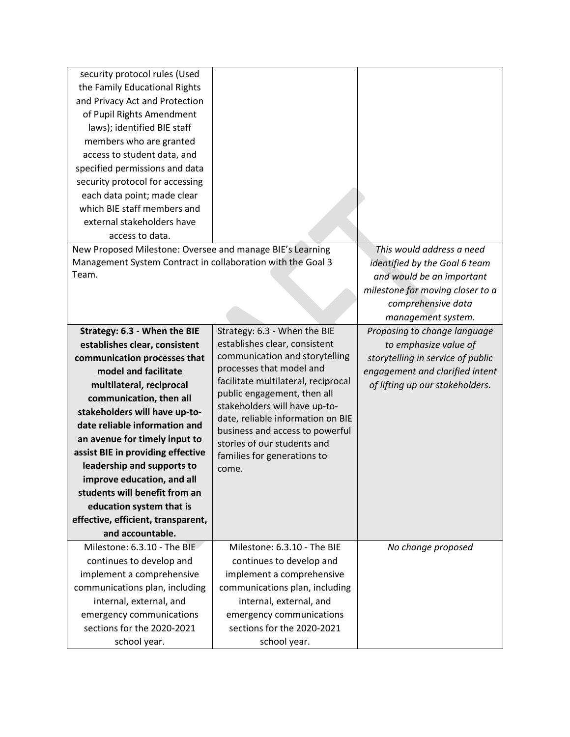| security protocol rules (Used<br>the Family Educational Rights<br>and Privacy Act and Protection<br>of Pupil Rights Amendment<br>laws); identified BIE staff<br>members who are granted<br>access to student data, and<br>specified permissions and data<br>security protocol for accessing<br>each data point; made clear<br>which BIE staff members and<br>external stakeholders have |                                                              |                                                                                                                                                                         |
|-----------------------------------------------------------------------------------------------------------------------------------------------------------------------------------------------------------------------------------------------------------------------------------------------------------------------------------------------------------------------------------------|--------------------------------------------------------------|-------------------------------------------------------------------------------------------------------------------------------------------------------------------------|
| access to data.                                                                                                                                                                                                                                                                                                                                                                         |                                                              |                                                                                                                                                                         |
| New Proposed Milestone: Oversee and manage BIE's Learning<br>Management System Contract in collaboration with the Goal 3<br>Team.                                                                                                                                                                                                                                                       |                                                              | This would address a need<br>identified by the Goal 6 team<br>and would be an important<br>milestone for moving closer to a<br>comprehensive data<br>management system. |
| Strategy: 6.3 - When the BIE                                                                                                                                                                                                                                                                                                                                                            | Strategy: 6.3 - When the BIE                                 | Proposing to change language                                                                                                                                            |
| establishes clear, consistent                                                                                                                                                                                                                                                                                                                                                           | establishes clear, consistent                                | to emphasize value of                                                                                                                                                   |
| communication processes that                                                                                                                                                                                                                                                                                                                                                            | communication and storytelling                               | storytelling in service of public                                                                                                                                       |
| model and facilitate                                                                                                                                                                                                                                                                                                                                                                    | processes that model and                                     | engagement and clarified intent                                                                                                                                         |
| multilateral, reciprocal                                                                                                                                                                                                                                                                                                                                                                | facilitate multilateral, reciprocal                          | of lifting up our stakeholders.                                                                                                                                         |
| communication, then all                                                                                                                                                                                                                                                                                                                                                                 | public engagement, then all<br>stakeholders will have up-to- |                                                                                                                                                                         |
| stakeholders will have up-to-                                                                                                                                                                                                                                                                                                                                                           | date, reliable information on BIE                            |                                                                                                                                                                         |
| date reliable information and                                                                                                                                                                                                                                                                                                                                                           | business and access to powerful                              |                                                                                                                                                                         |
| an avenue for timely input to                                                                                                                                                                                                                                                                                                                                                           | stories of our students and                                  |                                                                                                                                                                         |
| assist BIE in providing effective                                                                                                                                                                                                                                                                                                                                                       | families for generations to                                  |                                                                                                                                                                         |
| leadership and supports to                                                                                                                                                                                                                                                                                                                                                              | come.                                                        |                                                                                                                                                                         |
| improve education, and all                                                                                                                                                                                                                                                                                                                                                              |                                                              |                                                                                                                                                                         |
| students will benefit from an                                                                                                                                                                                                                                                                                                                                                           |                                                              |                                                                                                                                                                         |
| education system that is                                                                                                                                                                                                                                                                                                                                                                |                                                              |                                                                                                                                                                         |
| effective, efficient, transparent,                                                                                                                                                                                                                                                                                                                                                      |                                                              |                                                                                                                                                                         |
| and accountable.                                                                                                                                                                                                                                                                                                                                                                        |                                                              |                                                                                                                                                                         |
| Milestone: 6.3.10 - The BIE                                                                                                                                                                                                                                                                                                                                                             | Milestone: 6.3.10 - The BIE                                  | No change proposed                                                                                                                                                      |
| continues to develop and                                                                                                                                                                                                                                                                                                                                                                | continues to develop and                                     |                                                                                                                                                                         |
| implement a comprehensive                                                                                                                                                                                                                                                                                                                                                               | implement a comprehensive                                    |                                                                                                                                                                         |
| communications plan, including                                                                                                                                                                                                                                                                                                                                                          | communications plan, including                               |                                                                                                                                                                         |
| internal, external, and                                                                                                                                                                                                                                                                                                                                                                 | internal, external, and                                      |                                                                                                                                                                         |
| emergency communications                                                                                                                                                                                                                                                                                                                                                                | emergency communications                                     |                                                                                                                                                                         |
| sections for the 2020-2021                                                                                                                                                                                                                                                                                                                                                              | sections for the 2020-2021                                   |                                                                                                                                                                         |
| school year.                                                                                                                                                                                                                                                                                                                                                                            | school year.                                                 |                                                                                                                                                                         |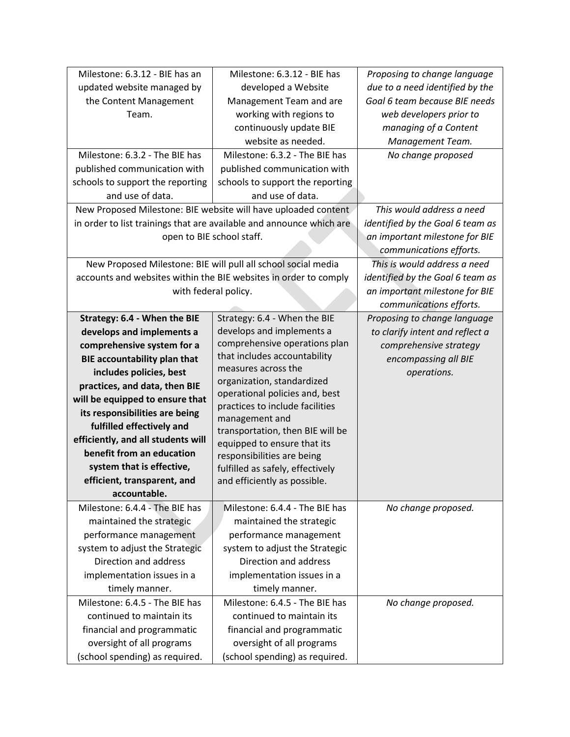| updated website managed by<br>developed a Website<br>due to a need identified by the<br>Goal 6 team because BIE needs<br>the Content Management<br>Management Team and are<br>working with regions to<br>web developers prior to<br>Team.<br>continuously update BIE<br>managing of a Content<br>website as needed.<br>Management Team.<br>Milestone: 6.3.2 - The BIE has<br>Milestone: 6.3.2 - The BIE has<br>No change proposed<br>published communication with<br>published communication with<br>schools to support the reporting<br>schools to support the reporting<br>and use of data.<br>and use of data.<br>New Proposed Milestone: BIE website will have uploaded content<br>This would address a need<br>in order to list trainings that are available and announce which are<br>identified by the Goal 6 team as |
|------------------------------------------------------------------------------------------------------------------------------------------------------------------------------------------------------------------------------------------------------------------------------------------------------------------------------------------------------------------------------------------------------------------------------------------------------------------------------------------------------------------------------------------------------------------------------------------------------------------------------------------------------------------------------------------------------------------------------------------------------------------------------------------------------------------------------|
|                                                                                                                                                                                                                                                                                                                                                                                                                                                                                                                                                                                                                                                                                                                                                                                                                              |
|                                                                                                                                                                                                                                                                                                                                                                                                                                                                                                                                                                                                                                                                                                                                                                                                                              |
|                                                                                                                                                                                                                                                                                                                                                                                                                                                                                                                                                                                                                                                                                                                                                                                                                              |
|                                                                                                                                                                                                                                                                                                                                                                                                                                                                                                                                                                                                                                                                                                                                                                                                                              |
|                                                                                                                                                                                                                                                                                                                                                                                                                                                                                                                                                                                                                                                                                                                                                                                                                              |
|                                                                                                                                                                                                                                                                                                                                                                                                                                                                                                                                                                                                                                                                                                                                                                                                                              |
|                                                                                                                                                                                                                                                                                                                                                                                                                                                                                                                                                                                                                                                                                                                                                                                                                              |
|                                                                                                                                                                                                                                                                                                                                                                                                                                                                                                                                                                                                                                                                                                                                                                                                                              |
|                                                                                                                                                                                                                                                                                                                                                                                                                                                                                                                                                                                                                                                                                                                                                                                                                              |
|                                                                                                                                                                                                                                                                                                                                                                                                                                                                                                                                                                                                                                                                                                                                                                                                                              |
|                                                                                                                                                                                                                                                                                                                                                                                                                                                                                                                                                                                                                                                                                                                                                                                                                              |
| open to BIE school staff.<br>an important milestone for BIE                                                                                                                                                                                                                                                                                                                                                                                                                                                                                                                                                                                                                                                                                                                                                                  |
| communications efforts.                                                                                                                                                                                                                                                                                                                                                                                                                                                                                                                                                                                                                                                                                                                                                                                                      |
| New Proposed Milestone: BIE will pull all school social media<br>This is would address a need                                                                                                                                                                                                                                                                                                                                                                                                                                                                                                                                                                                                                                                                                                                                |
| accounts and websites within the BIE websites in order to comply<br>identified by the Goal 6 team as                                                                                                                                                                                                                                                                                                                                                                                                                                                                                                                                                                                                                                                                                                                         |
| with federal policy.<br>an important milestone for BIE                                                                                                                                                                                                                                                                                                                                                                                                                                                                                                                                                                                                                                                                                                                                                                       |
| communications efforts.                                                                                                                                                                                                                                                                                                                                                                                                                                                                                                                                                                                                                                                                                                                                                                                                      |
| Strategy: 6.4 - When the BIE<br>Strategy: 6.4 - When the BIE<br>Proposing to change language                                                                                                                                                                                                                                                                                                                                                                                                                                                                                                                                                                                                                                                                                                                                 |
| develops and implements a<br>develops and implements a<br>to clarify intent and reflect a                                                                                                                                                                                                                                                                                                                                                                                                                                                                                                                                                                                                                                                                                                                                    |
| comprehensive operations plan<br>comprehensive system for a<br>comprehensive strategy                                                                                                                                                                                                                                                                                                                                                                                                                                                                                                                                                                                                                                                                                                                                        |
| that includes accountability<br><b>BIE accountability plan that</b><br>encompassing all BIE                                                                                                                                                                                                                                                                                                                                                                                                                                                                                                                                                                                                                                                                                                                                  |
| measures across the<br>includes policies, best<br>operations.                                                                                                                                                                                                                                                                                                                                                                                                                                                                                                                                                                                                                                                                                                                                                                |
| organization, standardized<br>practices, and data, then BIE                                                                                                                                                                                                                                                                                                                                                                                                                                                                                                                                                                                                                                                                                                                                                                  |
| operational policies and, best<br>will be equipped to ensure that                                                                                                                                                                                                                                                                                                                                                                                                                                                                                                                                                                                                                                                                                                                                                            |
| practices to include facilities<br>its responsibilities are being                                                                                                                                                                                                                                                                                                                                                                                                                                                                                                                                                                                                                                                                                                                                                            |
| management and<br>fulfilled effectively and                                                                                                                                                                                                                                                                                                                                                                                                                                                                                                                                                                                                                                                                                                                                                                                  |
| transportation, then BIE will be<br>efficiently, and all students will                                                                                                                                                                                                                                                                                                                                                                                                                                                                                                                                                                                                                                                                                                                                                       |
| equipped to ensure that its<br>benefit from an education<br>responsibilities are being                                                                                                                                                                                                                                                                                                                                                                                                                                                                                                                                                                                                                                                                                                                                       |
| system that is effective,<br>fulfilled as safely, effectively                                                                                                                                                                                                                                                                                                                                                                                                                                                                                                                                                                                                                                                                                                                                                                |
| efficient, transparent, and<br>and efficiently as possible.                                                                                                                                                                                                                                                                                                                                                                                                                                                                                                                                                                                                                                                                                                                                                                  |
| accountable.                                                                                                                                                                                                                                                                                                                                                                                                                                                                                                                                                                                                                                                                                                                                                                                                                 |
| Milestone: 6.4.4 - The BIE has<br>Milestone: 6.4.4 - The BIE has<br>No change proposed.                                                                                                                                                                                                                                                                                                                                                                                                                                                                                                                                                                                                                                                                                                                                      |
| maintained the strategic<br>maintained the strategic                                                                                                                                                                                                                                                                                                                                                                                                                                                                                                                                                                                                                                                                                                                                                                         |
| performance management<br>performance management                                                                                                                                                                                                                                                                                                                                                                                                                                                                                                                                                                                                                                                                                                                                                                             |
| system to adjust the Strategic<br>system to adjust the Strategic                                                                                                                                                                                                                                                                                                                                                                                                                                                                                                                                                                                                                                                                                                                                                             |
| Direction and address<br>Direction and address                                                                                                                                                                                                                                                                                                                                                                                                                                                                                                                                                                                                                                                                                                                                                                               |
| implementation issues in a<br>implementation issues in a                                                                                                                                                                                                                                                                                                                                                                                                                                                                                                                                                                                                                                                                                                                                                                     |
| timely manner.<br>timely manner.                                                                                                                                                                                                                                                                                                                                                                                                                                                                                                                                                                                                                                                                                                                                                                                             |
| Milestone: 6.4.5 - The BIE has<br>Milestone: 6.4.5 - The BIE has<br>No change proposed.                                                                                                                                                                                                                                                                                                                                                                                                                                                                                                                                                                                                                                                                                                                                      |
| continued to maintain its<br>continued to maintain its                                                                                                                                                                                                                                                                                                                                                                                                                                                                                                                                                                                                                                                                                                                                                                       |
| financial and programmatic<br>financial and programmatic                                                                                                                                                                                                                                                                                                                                                                                                                                                                                                                                                                                                                                                                                                                                                                     |
| oversight of all programs<br>oversight of all programs                                                                                                                                                                                                                                                                                                                                                                                                                                                                                                                                                                                                                                                                                                                                                                       |
| (school spending) as required.<br>(school spending) as required.                                                                                                                                                                                                                                                                                                                                                                                                                                                                                                                                                                                                                                                                                                                                                             |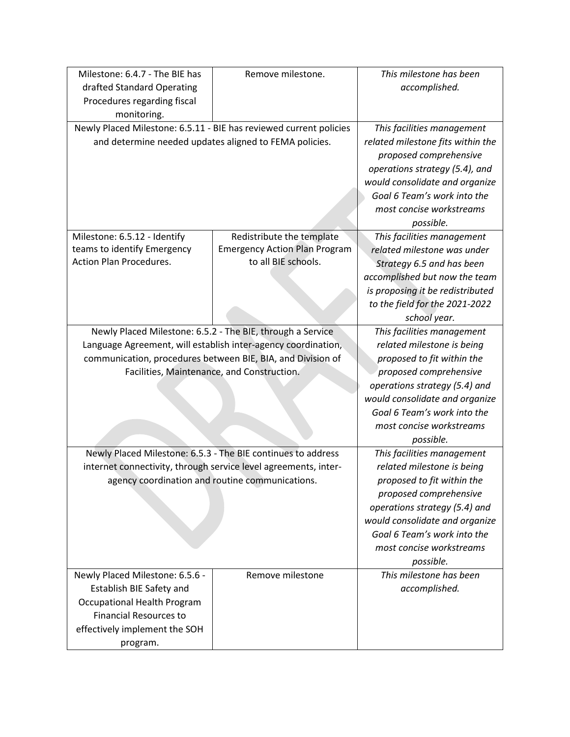| Milestone: 6.4.7 - The BIE has                                     | Remove milestone.                                               | This milestone has been           |
|--------------------------------------------------------------------|-----------------------------------------------------------------|-----------------------------------|
| drafted Standard Operating                                         |                                                                 | accomplished.                     |
| Procedures regarding fiscal                                        |                                                                 |                                   |
| monitoring.                                                        |                                                                 |                                   |
| Newly Placed Milestone: 6.5.11 - BIE has reviewed current policies |                                                                 | This facilities management        |
|                                                                    | and determine needed updates aligned to FEMA policies.          | related milestone fits within the |
|                                                                    |                                                                 | proposed comprehensive            |
|                                                                    |                                                                 | operations strategy (5.4), and    |
|                                                                    |                                                                 | would consolidate and organize    |
|                                                                    |                                                                 | Goal 6 Team's work into the       |
|                                                                    |                                                                 | most concise workstreams          |
|                                                                    |                                                                 | possible.                         |
| Milestone: 6.5.12 - Identify                                       | Redistribute the template                                       | This facilities management        |
| teams to identify Emergency                                        | <b>Emergency Action Plan Program</b>                            | related milestone was under       |
| <b>Action Plan Procedures.</b>                                     | to all BIE schools.                                             | Strategy 6.5 and has been         |
|                                                                    |                                                                 | accomplished but now the team     |
|                                                                    |                                                                 | is proposing it be redistributed  |
|                                                                    |                                                                 | to the field for the 2021-2022    |
|                                                                    |                                                                 | school year.                      |
|                                                                    | Newly Placed Milestone: 6.5.2 - The BIE, through a Service      | This facilities management        |
|                                                                    | Language Agreement, will establish inter-agency coordination,   | related milestone is being        |
|                                                                    | communication, procedures between BIE, BIA, and Division of     | proposed to fit within the        |
|                                                                    | Facilities, Maintenance, and Construction.                      | proposed comprehensive            |
|                                                                    |                                                                 | operations strategy (5.4) and     |
|                                                                    |                                                                 | would consolidate and organize    |
|                                                                    |                                                                 | Goal 6 Team's work into the       |
|                                                                    |                                                                 | most concise workstreams          |
|                                                                    |                                                                 | possible.                         |
|                                                                    | Newly Placed Milestone: 6.5.3 - The BIE continues to address    | This facilities management        |
|                                                                    | internet connectivity, through service level agreements, inter- | related milestone is being        |
|                                                                    | agency coordination and routine communications.                 | proposed to fit within the        |
|                                                                    |                                                                 | proposed comprehensive            |
|                                                                    |                                                                 | operations strategy (5.4) and     |
|                                                                    |                                                                 | would consolidate and organize    |
|                                                                    |                                                                 | Goal 6 Team's work into the       |
|                                                                    |                                                                 | most concise workstreams          |
|                                                                    |                                                                 | possible.                         |
| Newly Placed Milestone: 6.5.6 -                                    | Remove milestone                                                | This milestone has been           |
| Establish BIE Safety and                                           |                                                                 | accomplished.                     |
| <b>Occupational Health Program</b>                                 |                                                                 |                                   |
| <b>Financial Resources to</b>                                      |                                                                 |                                   |
| effectively implement the SOH                                      |                                                                 |                                   |
| program.                                                           |                                                                 |                                   |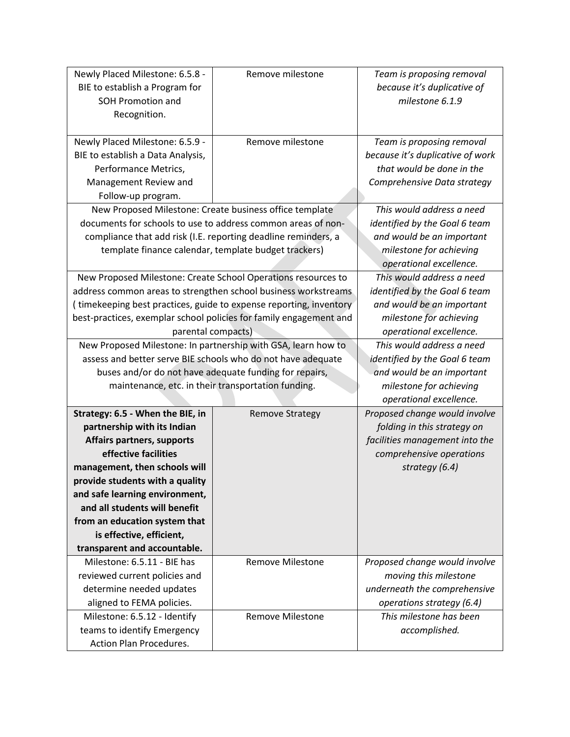| Newly Placed Milestone: 6.5.8 -                              | Remove milestone                                                   | Team is proposing removal        |
|--------------------------------------------------------------|--------------------------------------------------------------------|----------------------------------|
| BIE to establish a Program for                               |                                                                    | because it's duplicative of      |
| <b>SOH Promotion and</b>                                     |                                                                    | milestone 6.1.9                  |
| Recognition.                                                 |                                                                    |                                  |
|                                                              |                                                                    |                                  |
| Newly Placed Milestone: 6.5.9 -                              | Remove milestone                                                   | Team is proposing removal        |
| BIE to establish a Data Analysis,                            |                                                                    | because it's duplicative of work |
| Performance Metrics,                                         |                                                                    | that would be done in the        |
| Management Review and                                        |                                                                    | Comprehensive Data strategy      |
| Follow-up program.                                           |                                                                    |                                  |
| New Proposed Milestone: Create business office template      |                                                                    | This would address a need        |
|                                                              | documents for schools to use to address common areas of non-       | identified by the Goal 6 team    |
|                                                              | compliance that add risk (I.E. reporting deadline reminders, a     | and would be an important        |
|                                                              | template finance calendar, template budget trackers)               | milestone for achieving          |
|                                                              |                                                                    | operational excellence.          |
|                                                              | New Proposed Milestone: Create School Operations resources to      | This would address a need        |
|                                                              | address common areas to strengthen school business workstreams     | identified by the Goal 6 team    |
|                                                              | (timekeeping best practices, guide to expense reporting, inventory | and would be an important        |
|                                                              | best-practices, exemplar school policies for family engagement and | milestone for achieving          |
| parental compacts)                                           |                                                                    | operational excellence.          |
|                                                              | New Proposed Milestone: In partnership with GSA, learn how to      | This would address a need        |
| assess and better serve BIE schools who do not have adequate |                                                                    | identified by the Goal 6 team    |
|                                                              | buses and/or do not have adequate funding for repairs,             | and would be an important        |
|                                                              | maintenance, etc. in their transportation funding.                 | milestone for achieving          |
|                                                              |                                                                    | operational excellence.          |
| Strategy: 6.5 - When the BIE, in                             | <b>Remove Strategy</b>                                             | Proposed change would involve    |
| partnership with its Indian                                  |                                                                    | folding in this strategy on      |
| <b>Affairs partners, supports</b>                            |                                                                    | facilities management into the   |
| effective facilities                                         |                                                                    | comprehensive operations         |
| management, then schools will                                |                                                                    | strategy (6.4)                   |
| provide students with a quality                              |                                                                    |                                  |
| and safe learning environment,                               |                                                                    |                                  |
| and all students will benefit                                |                                                                    |                                  |
| from an education system that                                |                                                                    |                                  |
| is effective, efficient,                                     |                                                                    |                                  |
| transparent and accountable.                                 |                                                                    |                                  |
| Milestone: 6.5.11 - BIE has                                  | <b>Remove Milestone</b>                                            | Proposed change would involve    |
| reviewed current policies and                                |                                                                    | moving this milestone            |
| determine needed updates                                     |                                                                    | underneath the comprehensive     |
| aligned to FEMA policies.                                    |                                                                    | operations strategy (6.4)        |
| Milestone: 6.5.12 - Identify                                 | <b>Remove Milestone</b>                                            | This milestone has been          |
| teams to identify Emergency                                  |                                                                    | accomplished.                    |
| Action Plan Procedures.                                      |                                                                    |                                  |